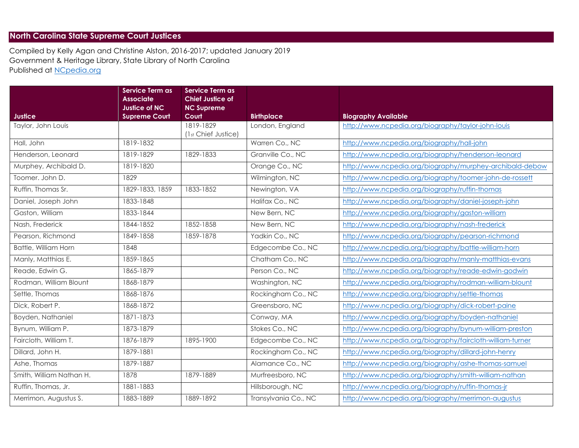## **North Carolina State Supreme Court Justices**

Compiled by Kelly Agan and Christine Alston, 2016-2017; updated January 2019 Government & Heritage Library, State Library of North Carolina Published at [NCpedia.org](http://www.ncpedia.org/government/state/judicial)

|                          | <b>Service Term as</b><br><b>Associate</b> | <b>Service Term as</b><br><b>Chief Justice of</b> |                      |                                                           |
|--------------------------|--------------------------------------------|---------------------------------------------------|----------------------|-----------------------------------------------------------|
| <b>Justice</b>           | Justice of NC<br><b>Supreme Court</b>      | <b>NC Supreme</b><br>Court                        | <b>Birthplace</b>    | <b>Biography Available</b>                                |
| Taylor, John Louis       |                                            | 1819-1829<br>(1st Chief Justice)                  | London, England      | http://www.ncpedia.org/biography/taylor-john-louis        |
| Hall, John               | 1819-1832                                  |                                                   | Warren Co., NC       | http://www.ncpedia.org/biography/hall-john                |
| Henderson, Leonard       | 1819-1829                                  | 1829-1833                                         | Granville Co., NC    | http://www.ncpedia.org/biography/henderson-leonard        |
| Murphey, Archibald D.    | 1819-1820                                  |                                                   | Orange Co., NC       | http://www.ncpedia.org/biography/murphey-archibald-debow  |
| Toomer. John D.          | 1829                                       |                                                   | Wilmington, NC       | http://www.ncpedia.org/biography/toomer-john-de-rossett   |
| Ruffin, Thomas Sr.       | 1829-1833, 1859                            | 1833-1852                                         | Newington, VA        | http://www.ncpedia.org/biography/ruffin-thomas            |
| Daniel, Joseph John      | 1833-1848                                  |                                                   | Halifax Co., NC      | http://www.ncpedia.org/biography/daniel-joseph-john       |
| Gaston, William          | 1833-1844                                  |                                                   | New Bern, NC         | http://www.ncpedia.org/biography/gaston-william           |
| Nash, Frederick          | 1844-1852                                  | 1852-1858                                         | New Bern, NC         | http://www.ncpedia.org/biography/nash-frederick           |
| Pearson, Richmond        | 1849-1858                                  | 1859-1878                                         | Yadkin Co., NC       | http://www.ncpedia.org/biography/pearson-richmond         |
| Battle, William Horn     | 1848                                       |                                                   | Edgecombe Co., NC    | http://www.ncpedia.org/biography/battle-william-horn      |
| Manly, Matthias E.       | 1859-1865                                  |                                                   | Chatham Co., NC      | http://www.ncpedia.org/biography/manly-matthias-evans     |
| Reade, Edwin G.          | 1865-1879                                  |                                                   | Person Co., NC       | http://www.ncpedia.org/biography/reade-edwin-godwin       |
| Rodman, William Blount   | 1868-1879                                  |                                                   | Washington, NC       | http://www.ncpedia.org/biography/rodman-william-blount    |
| Settle, Thomas           | 1868-1876                                  |                                                   | Rockingham Co., NC   | http://www.ncpedia.org/biography/settle-thomas            |
| Dick, Robert P.          | 1868-1872                                  |                                                   | Greensboro, NC       | http://www.ncpedia.org/biography/dick-robert-paine        |
| Boyden, Nathaniel        | 1871-1873                                  |                                                   | Conway, MA           | http://www.ncpedia.org/biography/boyden-nathaniel         |
| Bynum, William P.        | 1873-1879                                  |                                                   | Stokes Co., NC       | http://www.ncpedia.org/biography/bynum-william-preston    |
| Faircloth, William T.    | 1876-1879                                  | 1895-1900                                         | Edgecombe Co., NC    | http://www.ncpedia.org/biography/faircloth-william-turner |
| Dillard, John H.         | 1879-1881                                  |                                                   | Rockingham Co., NC   | http://www.ncpedia.org/biography/dillard-john-henry       |
| Ashe, Thomas             | 1879-1887                                  |                                                   | Alamance Co., NC     | http://www.ncpedia.org/biography/ashe-thomas-samuel       |
| Smith, William Nathan H. | 1878                                       | 1879-1889                                         | Murfreesboro, NC     | http://www.ncpedia.org/biography/smith-william-nathan     |
| Ruffin, Thomas, Jr.      | 1881-1883                                  |                                                   | Hillsborough, NC     | http://www.ncpedia.org/biography/ruffin-thomas-jr         |
| Merrimon, Augustus S.    | 1883-1889                                  | 1889-1892                                         | Transylvania Co., NC | http://www.ncpedia.org/biography/merrimon-augustus        |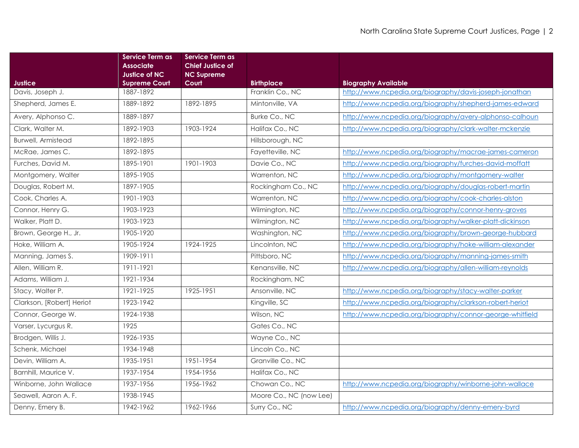|                           | <b>Service Term as</b><br><b>Associate</b>   | Service Term as<br><b>Chief Justice of</b> |                         |                                                          |
|---------------------------|----------------------------------------------|--------------------------------------------|-------------------------|----------------------------------------------------------|
| Justice                   | <b>Justice of NC</b><br><b>Supreme Court</b> | <b>NC Supreme</b><br>Court                 | <b>Birthplace</b>       | <b>Biography Available</b>                               |
| Davis, Joseph J.          | 1887-1892                                    |                                            | Franklin Co., NC        | http://www.ncpedia.org/biography/davis-joseph-jonathan   |
| Shepherd, James E.        | 1889-1892                                    | 1892-1895                                  | Mintonville, VA         | http://www.ncpedia.org/biography/shepherd-james-edward   |
| Avery, Alphonso C.        | 1889-1897                                    |                                            | Burke Co., NC           | http://www.ncpedia.org/biography/avery-alphonso-calhoun  |
| Clark, Walter M.          | 1892-1903                                    | 1903-1924                                  | Halifax Co., NC         | http://www.ncpedia.org/biography/clark-walter-mckenzie   |
| <b>Burwell, Armistead</b> | 1892-1895                                    |                                            | Hillsborough, NC        |                                                          |
| McRae, James C.           | 1892-1895                                    |                                            | Fayetteville, NC        | http://www.ncpedia.org/biography/macrae-james-cameron    |
| Furches, David M.         | 1895-1901                                    | 1901-1903                                  | Davie Co., NC           | http://www.ncpedia.org/biography/furches-david-moffatt   |
| Montgomery, Walter        | 1895-1905                                    |                                            | Warrenton, NC           | http://www.ncpedia.org/biography/montgomery-walter       |
| Douglas, Robert M.        | 1897-1905                                    |                                            | Rockingham Co., NC      | http://www.ncpedia.org/biography/douglas-robert-martin   |
| Cook, Charles A.          | 1901-1903                                    |                                            | Warrenton, NC           | http://www.ncpedia.org/biography/cook-charles-alston     |
| Connor, Henry G.          | 1903-1923                                    |                                            | Wilmington, NC          | http://www.ncpedia.org/biography/connor-henry-groves     |
| Walker, Platt D.          | 1903-1923                                    |                                            | Wilmington, NC          | http://www.ncpedia.org/biography/walker-platt-dickinson  |
| Brown, George H., Jr.     | 1905-1920                                    |                                            | Washington, NC          | http://www.ncpedia.org/biography/brown-george-hubbard    |
| Hoke, William A.          | 1905-1924                                    | 1924-1925                                  | Lincolnton, NC          | http://www.ncpedia.org/biography/hoke-william-alexander  |
| Manning, James S.         | 1909-1911                                    |                                            | Pittsboro, NC           | http://www.ncpedia.org/biography/manning-james-smith     |
| Allen, William R.         | 1911-1921                                    |                                            | Kenansville, NC         | http://www.ncpedia.org/biography/allen-william-reynolds  |
| Adams, William J.         | 1921-1934                                    |                                            | Rockingham, NC          |                                                          |
| Stacy, Walter P.          | 1921-1925                                    | 1925-1951                                  | Ansonville, NC          | http://www.ncpedia.org/biography/stacy-walter-parker     |
| Clarkson, [Robert] Heriot | 1923-1942                                    |                                            | Kingville, SC           | http://www.ncpedia.org/biography/clarkson-robert-heriot  |
| Connor, George W.         | 1924-1938                                    |                                            | Wilson, NC              | http://www.ncpedia.org/biography/connor-george-whitfield |
| Varser, Lycurgus R.       | 1925                                         |                                            | Gates Co., NC           |                                                          |
| Brodgen, Willis J.        | 1926-1935                                    |                                            | Wayne Co., NC           |                                                          |
| Schenk, Michael           | 1934-1948                                    |                                            | Lincoln Co., NC         |                                                          |
| Devin, William A.         | 1935-1951                                    | 1951-1954                                  | Granville Co., NC       |                                                          |
| Barnhill, Maurice V.      | 1937-1954                                    | 1954-1956                                  | Halifax Co., NC         |                                                          |
| Winborne, John Wallace    | 1937-1956                                    | 1956-1962                                  | Chowan Co., NC          | http://www.ncpedia.org/biography/winborne-john-wallace   |
| Seawell, Aaron A. F.      | 1938-1945                                    |                                            | Moore Co., NC (now Lee) |                                                          |
| Denny, Emery B.           | 1942-1962                                    | 1962-1966                                  | Surry Co., NC           | http://www.ncpedia.org/biography/denny-emery-byrd        |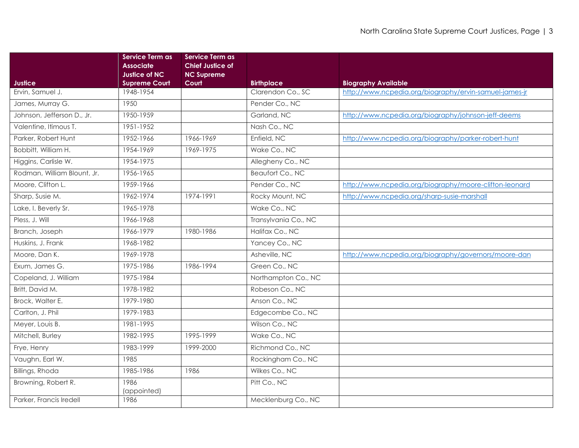|                             | Service Term as<br><b>Associate</b><br><b>Justice of NC</b> | <b>Service Term as</b><br><b>Chief Justice of</b><br><b>NC Supreme</b> |                      |                                                        |
|-----------------------------|-------------------------------------------------------------|------------------------------------------------------------------------|----------------------|--------------------------------------------------------|
| <b>Justice</b>              | <b>Supreme Court</b>                                        | Court                                                                  | <b>Birthplace</b>    | <b>Biography Available</b>                             |
| Ervin, Samuel J.            | 1948-1954                                                   |                                                                        | Clarendon Co., SC    | http://www.ncpedia.org/biography/ervin-samuel-james-jr |
| James, Murray G.            | 1950                                                        |                                                                        | Pender Co., NC       |                                                        |
| Johnson, Jefferson D., Jr.  | 1950-1959                                                   |                                                                        | Garland, NC          | http://www.ncpedia.org/biography/johnson-jeff-deems    |
| Valentine, Itimous T.       | 1951-1952                                                   |                                                                        | Nash Co., NC         |                                                        |
| Parker, Robert Hunt         | 1952-1966                                                   | 1966-1969                                                              | Enfield, NC          | http://www.ncpedia.org/biography/parker-robert-hunt    |
| Bobbitt, William H.         | 1954-1969                                                   | 1969-1975                                                              | Wake Co., NC         |                                                        |
| Higgins, Carlisle W.        | 1954-1975                                                   |                                                                        | Allegheny Co., NC    |                                                        |
| Rodman, William Blount, Jr. | 1956-1965                                                   |                                                                        | Beaufort Co., NC     |                                                        |
| Moore, Clifton L.           | 1959-1966                                                   |                                                                        | Pender Co., NC       | http://www.ncpedia.org/biography/moore-clifton-leonard |
| Sharp, Susie M.             | 1962-1974                                                   | 1974-1991                                                              | Rocky Mount, NC      | http://www.ncpedia.org/sharp-susie-marshall            |
| Lake, I. Beverly Sr.        | 1965-1978                                                   |                                                                        | Wake Co., NC         |                                                        |
| Pless, J. Will              | 1966-1968                                                   |                                                                        | Transylvania Co., NC |                                                        |
| Branch, Joseph              | 1966-1979                                                   | 1980-1986                                                              | Halifax Co., NC      |                                                        |
| Huskins, J. Frank           | 1968-1982                                                   |                                                                        | Yancey Co., NC       |                                                        |
| Moore, Dan K.               | 1969-1978                                                   |                                                                        | Asheville, NC        | http://www.ncpedia.org/biography/governors/moore-dan   |
| Exum, James G.              | 1975-1986                                                   | 1986-1994                                                              | Green Co., NC        |                                                        |
| Copeland, J. William        | 1975-1984                                                   |                                                                        | Northampton Co., NC  |                                                        |
| Britt, David M.             | 1978-1982                                                   |                                                                        | Robeson Co., NC      |                                                        |
| Brock, Walter E.            | 1979-1980                                                   |                                                                        | Anson Co., NC        |                                                        |
| Carlton, J. Phil            | 1979-1983                                                   |                                                                        | Edgecombe Co., NC    |                                                        |
| Meyer, Louis B.             | 1981-1995                                                   |                                                                        | Wilson Co., NC       |                                                        |
| Mitchell, Burley            | 1982-1995                                                   | 1995-1999                                                              | Wake Co., NC         |                                                        |
| Frye, Henry                 | 1983-1999                                                   | 1999-2000                                                              | Richmond Co., NC     |                                                        |
| Vaughn, Earl W.             | 1985                                                        |                                                                        | Rockingham Co., NC   |                                                        |
| Billings, Rhoda             | 1985-1986                                                   | 1986                                                                   | Wilkes Co., NC       |                                                        |
| Browning, Robert R.         | 1986<br>(appointed)                                         |                                                                        | Pitt Co., NC         |                                                        |
| Parker, Francis Iredell     | 1986                                                        |                                                                        | Mecklenburg Co., NC  |                                                        |